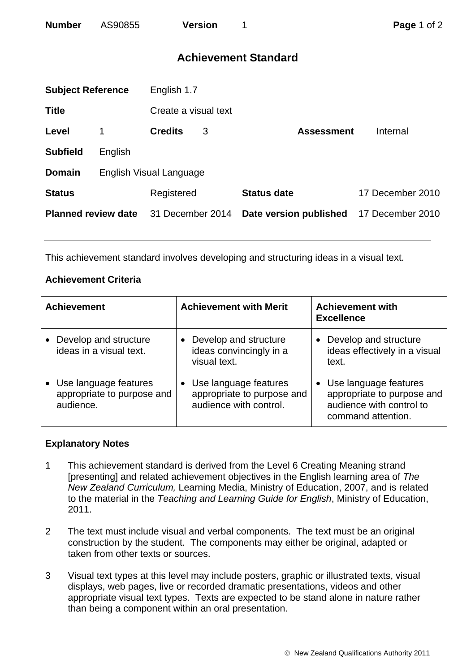# **Achievement Standard**

| <b>Subject Reference</b>   |                         | English 1.7          |   |                        |                  |  |  |
|----------------------------|-------------------------|----------------------|---|------------------------|------------------|--|--|
| <b>Title</b>               |                         | Create a visual text |   |                        |                  |  |  |
| Level                      | 1                       | <b>Credits</b>       | 3 | <b>Assessment</b>      | Internal         |  |  |
| <b>Subfield</b>            | English                 |                      |   |                        |                  |  |  |
| <b>Domain</b>              | English Visual Language |                      |   |                        |                  |  |  |
| <b>Status</b>              |                         | Registered           |   | <b>Status date</b>     | 17 December 2010 |  |  |
| <b>Planned review date</b> |                         | 31 December 2014     |   | Date version published | 17 December 2010 |  |  |
|                            |                         |                      |   |                        |                  |  |  |

This achievement standard involves developing and structuring ideas in a visual text.

## **Achievement Criteria**

| <b>Achievement</b>                                               | <b>Achievement with Merit</b>                                                 | <b>Achievement with</b><br><b>Excellence</b>                                                                       |
|------------------------------------------------------------------|-------------------------------------------------------------------------------|--------------------------------------------------------------------------------------------------------------------|
| Develop and structure<br>ideas in a visual text.                 | Develop and structure<br>ideas convincingly in a<br>visual text.              | Develop and structure<br>ideas effectively in a visual<br>text.                                                    |
| Use language features<br>appropriate to purpose and<br>audience. | Use language features<br>appropriate to purpose and<br>audience with control. | Use language features<br>$\bullet$<br>appropriate to purpose and<br>audience with control to<br>command attention. |

### **Explanatory Notes**

- 1 This achievement standard is derived from the Level 6 Creating Meaning strand [presenting] and related achievement objectives in the English learning area of *The New Zealand Curriculum,* Learning Media, Ministry of Education, 2007, and is related to the material in the *Teaching and Learning Guide for English*, Ministry of Education, 2011.
- 2 The text must include visual and verbal components. The text must be an original construction by the student. The components may either be original, adapted or taken from other texts or sources.
- 3 Visual text types at this level may include posters, graphic or illustrated texts, visual displays, web pages, live or recorded dramatic presentations, videos and other appropriate visual text types. Texts are expected to be stand alone in nature rather than being a component within an oral presentation.